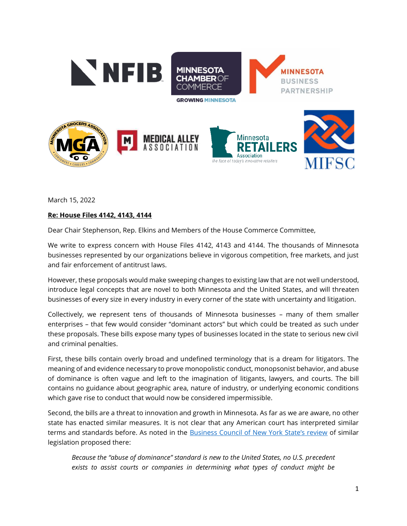

March 15, 2022

## **Re: House Files 4142, 4143, 4144**

Dear Chair Stephenson, Rep. Elkins and Members of the House Commerce Committee,

We write to express concern with House Files 4142, 4143 and 4144. The thousands of Minnesota businesses represented by our organizations believe in vigorous competition, free markets, and just and fair enforcement of antitrust laws.

However, these proposals would make sweeping changes to existing law that are not well understood, introduce legal concepts that are novel to both Minnesota and the United States, and will threaten businesses of every size in every industry in every corner of the state with uncertainty and litigation.

Collectively, we represent tens of thousands of Minnesota businesses – many of them smaller enterprises – that few would consider "dominant actors" but which could be treated as such under these proposals. These bills expose many types of businesses located in the state to serious new civil and criminal penalties.

First, these bills contain overly broad and undefined terminology that is a dream for litigators. The meaning of and evidence necessary to prove monopolistic conduct, monopsonist behavior, and abuse of dominance is often vague and left to the imagination of litigants, lawyers, and courts. The bill contains no guidance about geographic area, nature of industry, or underlying economic conditions which gave rise to conduct that would now be considered impermissible.

Second, the bills are a threat to innovation and growth in Minnesota. As far as we are aware, no other state has enacted similar measures. It is not clear that any American court has interpreted similar terms and standards before. As noted in the [Business Council of New York State's review](https://www.bcnys.org/sites/default/files/2021-06/S933A_A1812A_BCNYS_WhitePaper_06032021.pdf) of similar legislation proposed there:

*Because the "abuse of dominance" standard is new to the United States, no U.S. precedent exists to assist courts or companies in determining what types of conduct might be*